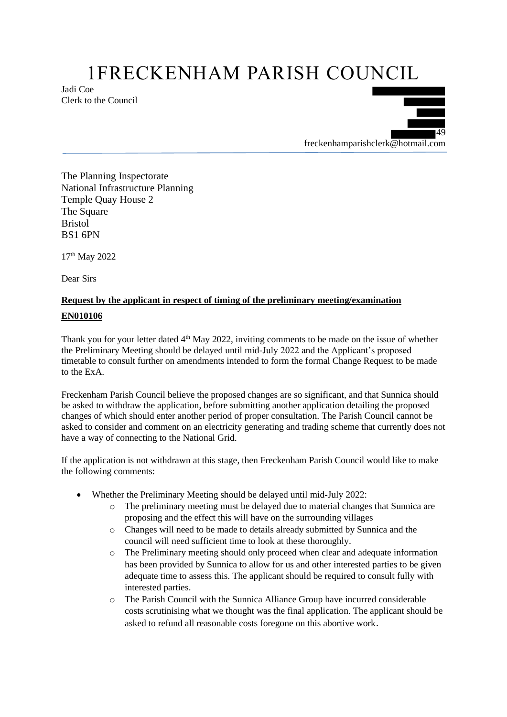## 1FRECKENHAM PARISH COUNCIL

Jadi Coe Clerk to the Council



The Planning Inspectorate National Infrastructure Planning Temple Quay House 2 The Square Bristol BS1 6PN

17<sup>th</sup> May 2022

Dear Sirs

## **Request by the applicant in respect of timing of the preliminary meeting/examination EN010106**

Thank you for your letter dated  $4<sup>th</sup>$  May 2022, inviting comments to be made on the issue of whether the Preliminary Meeting should be delayed until mid-July 2022 and the Applicant's proposed timetable to consult further on amendments intended to form the formal Change Request to be made to the ExA.

Freckenham Parish Council believe the proposed changes are so significant, and that Sunnica should be asked to withdraw the application, before submitting another application detailing the proposed changes of which should enter another period of proper consultation. The Parish Council cannot be asked to consider and comment on an electricity generating and trading scheme that currently does not have a way of connecting to the National Grid.

If the application is not withdrawn at this stage, then Freckenham Parish Council would like to make the following comments:

- Whether the Preliminary Meeting should be delayed until mid-July 2022:
	- The preliminary meeting must be delayed due to material changes that Sunnica are proposing and the effect this will have on the surrounding villages
	- o Changes will need to be made to details already submitted by Sunnica and the council will need sufficient time to look at these thoroughly.
	- o The Preliminary meeting should only proceed when clear and adequate information has been provided by Sunnica to allow for us and other interested parties to be given adequate time to assess this. The applicant should be required to consult fully with interested parties.
	- o The Parish Council with the Sunnica Alliance Group have incurred considerable costs scrutinising what we thought was the final application. The applicant should be asked to refund all reasonable costs foregone on this abortive work.